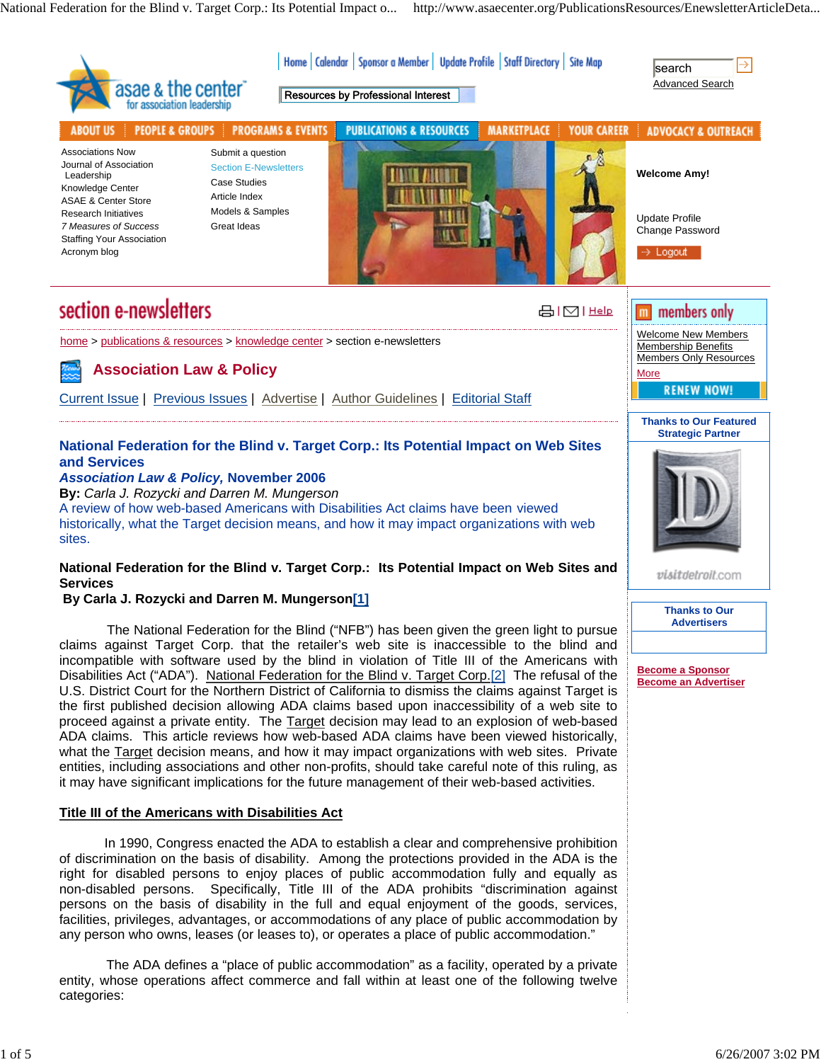National Federation for the Blind v. Target Corp.: Its Potential Impact o... http://www.asaecenter.org/PublicationsResources/EnewsletterArticleDeta...

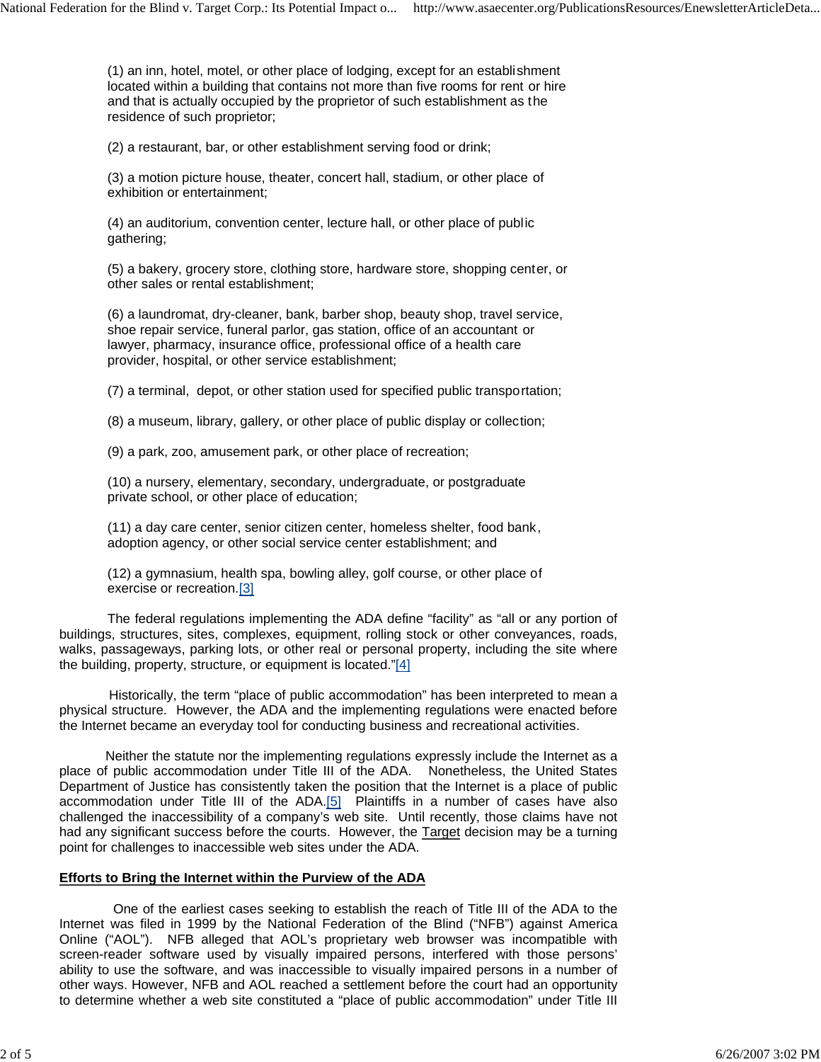(1) an inn, hotel, motel, or other place of lodging, except for an establishment located within a building that contains not more than five rooms for rent or hire and that is actually occupied by the proprietor of such establishment as the residence of such proprietor;

(2) a restaurant, bar, or other establishment serving food or drink;

(3) a motion picture house, theater, concert hall, stadium, or other place of exhibition or entertainment;

(4) an auditorium, convention center, lecture hall, or other place of public gathering;

(5) a bakery, grocery store, clothing store, hardware store, shopping center, or other sales or rental establishment;

(6) a laundromat, dry-cleaner, bank, barber shop, beauty shop, travel service, shoe repair service, funeral parlor, gas station, office of an accountant or lawyer, pharmacy, insurance office, professional office of a health care provider, hospital, or other service establishment;

(7) a terminal, depot, or other station used for specified public transportation;

(8) a museum, library, gallery, or other place of public display or collection;

(9) a park, zoo, amusement park, or other place of recreation;

(10) a nursery, elementary, secondary, undergraduate, or postgraduate private school, or other place of education;

(11) a day care center, senior citizen center, homeless shelter, food bank, adoption agency, or other social service center establishment; and

(12) a gymnasium, health spa, bowling alley, golf course, or other place of exercise or recreation.[3]

The federal regulations implementing the ADA define "facility" as "all or any portion of buildings, structures, sites, complexes, equipment, rolling stock or other conveyances, roads, walks, passageways, parking lots, or other real or personal property, including the site where the building, property, structure, or equipment is located."[4]

 Historically, the term "place of public accommodation" has been interpreted to mean a physical structure. However, the ADA and the implementing regulations were enacted before the Internet became an everyday tool for conducting business and recreational activities.

 Neither the statute nor the implementing regulations expressly include the Internet as a place of public accommodation under Title III of the ADA. Nonetheless, the United States Department of Justice has consistently taken the position that the Internet is a place of public accommodation under Title III of the  $ADA.[5]$  Plaintiffs in a number of cases have also challenged the inaccessibility of a company's web site. Until recently, those claims have not had any significant success before the courts. However, the **Target decision may be a turning** point for challenges to inaccessible web sites under the ADA.

# **Efforts to Bring the Internet within the Purview of the ADA**

One of the earliest cases seeking to establish the reach of Title III of the ADA to the Internet was filed in 1999 by the National Federation of the Blind ("NFB") against America Online ("AOL"). NFB alleged that AOL's proprietary web browser was incompatible with screen-reader software used by visually impaired persons, interfered with those persons' ability to use the software, and was inaccessible to visually impaired persons in a number of other ways. However, NFB and AOL reached a settlement before the court had an opportunity to determine whether a web site constituted a "place of public accommodation" under Title III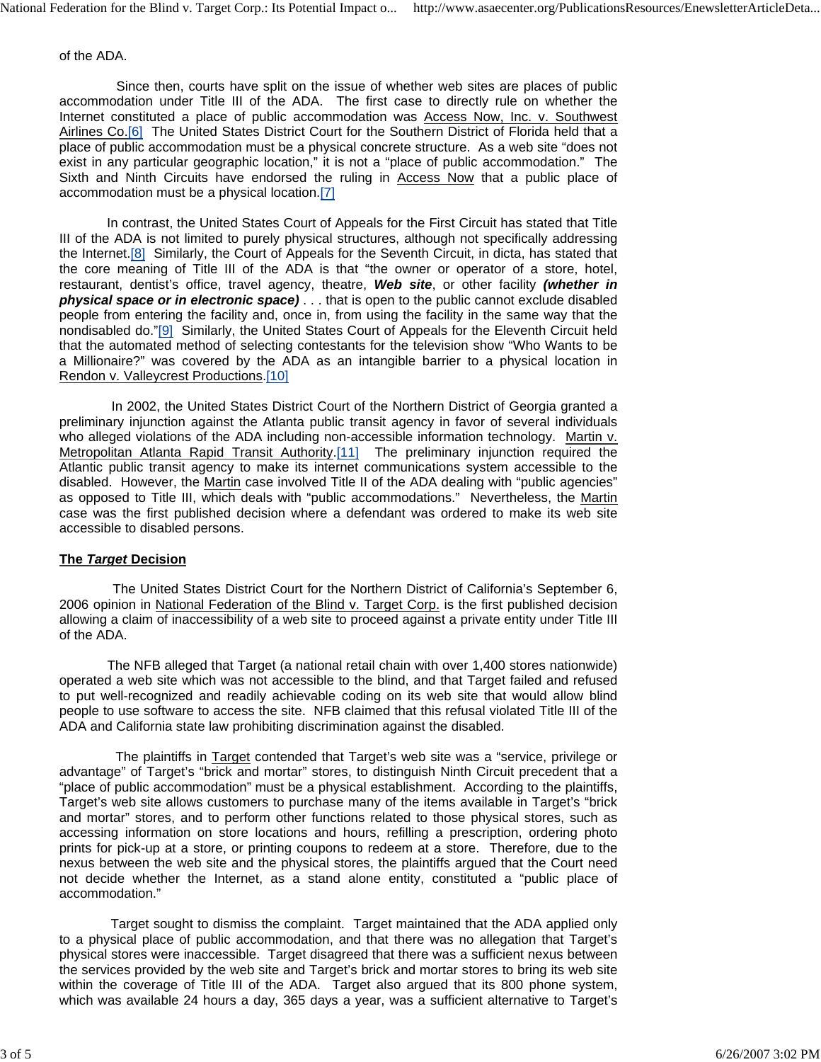of the ADA.

 Since then, courts have split on the issue of whether web sites are places of public accommodation under Title III of the ADA. The first case to directly rule on whether the Internet constituted a place of public accommodation was Access Now, Inc. v. Southwest Airlines Co.[6] The United States District Court for the Southern District of Florida held that a place of public accommodation must be a physical concrete structure. As a web site "does not exist in any particular geographic location," it is not a "place of public accommodation." The Sixth and Ninth Circuits have endorsed the ruling in Access Now that a public place of accommodation must be a physical location.[7]

 In contrast, the United States Court of Appeals for the First Circuit has stated that Title III of the ADA is not limited to purely physical structures, although not specifically addressing the Internet.[8] Similarly, the Court of Appeals for the Seventh Circuit, in dicta, has stated that the core meaning of Title III of the ADA is that "the owner or operator of a store, hotel, restaurant, dentist's office, travel agency, theatre, *Web site*, or other facility *(whether in physical space or in electronic space)* . . . that is open to the public cannot exclude disabled people from entering the facility and, once in, from using the facility in the same way that the nondisabled do."[9] Similarly, the United States Court of Appeals for the Eleventh Circuit held that the automated method of selecting contestants for the television show "Who Wants to be a Millionaire?" was covered by the ADA as an intangible barrier to a physical location in Rendon v. Valleycrest Productions.[10]

 In 2002, the United States District Court of the Northern District of Georgia granted a preliminary injunction against the Atlanta public transit agency in favor of several individuals who alleged violations of the ADA including non-accessible information technology. Martin v. Metropolitan Atlanta Rapid Transit Authority.[11] The preliminary injunction required the Atlantic public transit agency to make its internet communications system accessible to the disabled. However, the Martin case involved Title II of the ADA dealing with "public agencies" as opposed to Title III, which deals with "public accommodations." Nevertheless, the Martin case was the first published decision where a defendant was ordered to make its web site accessible to disabled persons.

## **The** *Target* **Decision**

 The United States District Court for the Northern District of California's September 6, 2006 opinion in National Federation of the Blind v. Target Corp. is the first published decision allowing a claim of inaccessibility of a web site to proceed against a private entity under Title III of the ADA.

 The NFB alleged that Target (a national retail chain with over 1,400 stores nationwide) operated a web site which was not accessible to the blind, and that Target failed and refused to put well-recognized and readily achievable coding on its web site that would allow blind people to use software to access the site. NFB claimed that this refusal violated Title III of the ADA and California state law prohibiting discrimination against the disabled.

 The plaintiffs in Target contended that Target's web site was a "service, privilege or advantage" of Target's "brick and mortar" stores, to distinguish Ninth Circuit precedent that a "place of public accommodation" must be a physical establishment. According to the plaintiffs, Target's web site allows customers to purchase many of the items available in Target's "brick and mortar" stores, and to perform other functions related to those physical stores, such as accessing information on store locations and hours, refilling a prescription, ordering photo prints for pick-up at a store, or printing coupons to redeem at a store. Therefore, due to the nexus between the web site and the physical stores, the plaintiffs argued that the Court need not decide whether the Internet, as a stand alone entity, constituted a "public place of accommodation."

 Target sought to dismiss the complaint. Target maintained that the ADA applied only to a physical place of public accommodation, and that there was no allegation that Target's physical stores were inaccessible. Target disagreed that there was a sufficient nexus between the services provided by the web site and Target's brick and mortar stores to bring its web site within the coverage of Title III of the ADA. Target also argued that its 800 phone system, which was available 24 hours a day, 365 days a year, was a sufficient alternative to Target's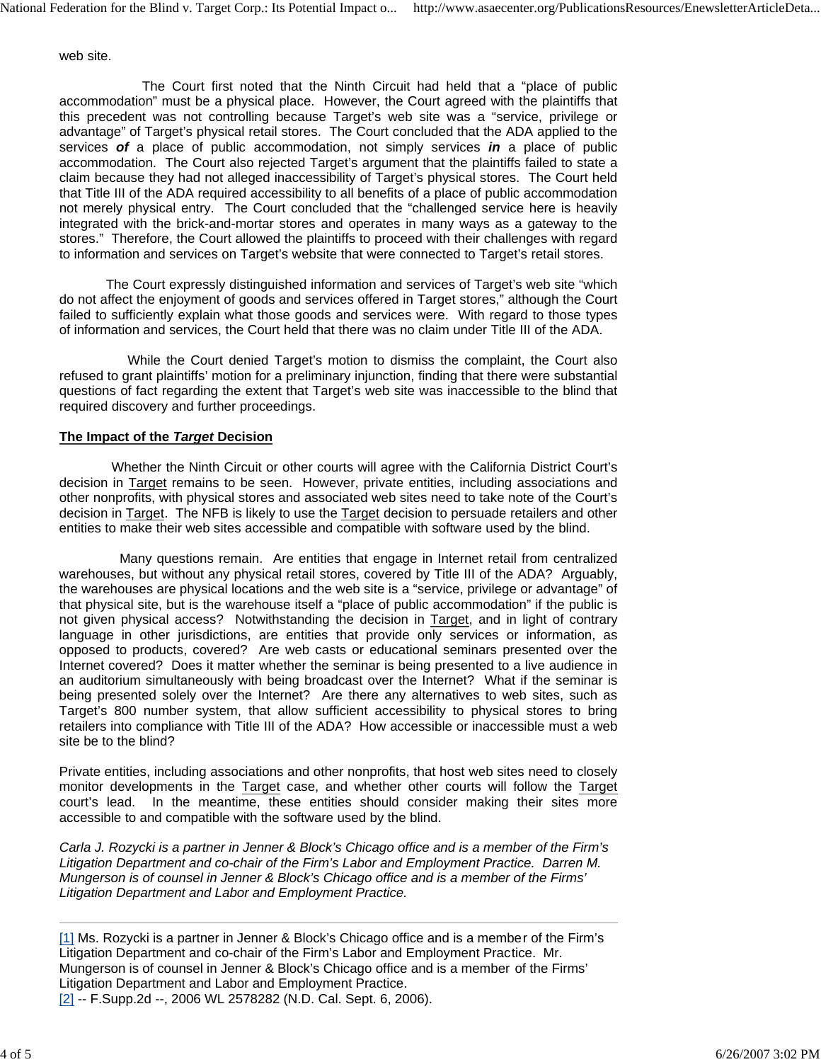web site.

 The Court first noted that the Ninth Circuit had held that a "place of public accommodation" must be a physical place. However, the Court agreed with the plaintiffs that this precedent was not controlling because Target's web site was a "service, privilege or advantage" of Target's physical retail stores. The Court concluded that the ADA applied to the services *of* a place of public accommodation, not simply services *in* a place of public accommodation. The Court also rejected Target's argument that the plaintiffs failed to state a claim because they had not alleged inaccessibility of Target's physical stores. The Court held that Title III of the ADA required accessibility to all benefits of a place of public accommodation not merely physical entry. The Court concluded that the "challenged service here is heavily integrated with the brick-and-mortar stores and operates in many ways as a gateway to the stores." Therefore, the Court allowed the plaintiffs to proceed with their challenges with regard to information and services on Target's website that were connected to Target's retail stores.

 The Court expressly distinguished information and services of Target's web site "which do not affect the enjoyment of goods and services offered in Target stores," although the Court failed to sufficiently explain what those goods and services were. With regard to those types of information and services, the Court held that there was no claim under Title III of the ADA.

 While the Court denied Target's motion to dismiss the complaint, the Court also refused to grant plaintiffs' motion for a preliminary injunction, finding that there were substantial questions of fact regarding the extent that Target's web site was inaccessible to the blind that required discovery and further proceedings.

### **The Impact of the** *Target* **Decision**

 Whether the Ninth Circuit or other courts will agree with the California District Court's decision in Target remains to be seen. However, private entities, including associations and other nonprofits, with physical stores and associated web sites need to take note of the Court's decision in Target. The NFB is likely to use the Target decision to persuade retailers and other entities to make their web sites accessible and compatible with software used by the blind.

 Many questions remain. Are entities that engage in Internet retail from centralized warehouses, but without any physical retail stores, covered by Title III of the ADA? Arguably, the warehouses are physical locations and the web site is a "service, privilege or advantage" of that physical site, but is the warehouse itself a "place of public accommodation" if the public is not given physical access? Notwithstanding the decision in Target, and in light of contrary language in other jurisdictions, are entities that provide only services or information, as opposed to products, covered? Are web casts or educational seminars presented over the Internet covered? Does it matter whether the seminar is being presented to a live audience in an auditorium simultaneously with being broadcast over the Internet? What if the seminar is being presented solely over the Internet? Are there any alternatives to web sites, such as Target's 800 number system, that allow sufficient accessibility to physical stores to bring retailers into compliance with Title III of the ADA? How accessible or inaccessible must a web site be to the blind?

Private entities, including associations and other nonprofits, that host web sites need to closely monitor developments in the Target case, and whether other courts will follow the Target court's lead. In the meantime, these entities should consider making their sites more accessible to and compatible with the software used by the blind.

*Carla J. Rozycki is a partner in Jenner & Block's Chicago office and is a member of the Firm's Litigation Department and co-chair of the Firm's Labor and Employment Practice. Darren M. Mungerson is of counsel in Jenner & Block's Chicago office and is a member of the Firms' Litigation Department and Labor and Employment Practice.* 

[1] Ms. Rozycki is a partner in Jenner & Block's Chicago office and is a member of the Firm's Litigation Department and co-chair of the Firm's Labor and Employment Practice. Mr. Mungerson is of counsel in Jenner & Block's Chicago office and is a member of the Firms' Litigation Department and Labor and Employment Practice. [2] -- F.Supp.2d --, 2006 WL 2578282 (N.D. Cal. Sept. 6, 2006).